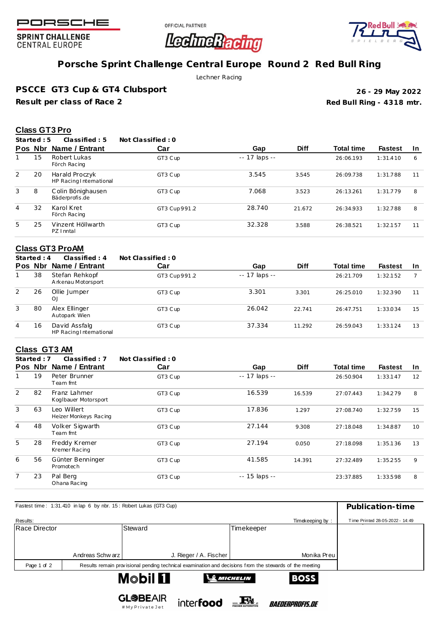

**SPRINT CHALLENGE CENTRAL EUROPE** 

OFFICIAL PARTNER



# **Porsche Sprint Challenge Central Europe Round 2 Red Bull Ring**

**LedineRacing** 

Lechner Racing

**PSCCE GT3 Cup & GT4 Clubsport**

**Result per class of Race 2**

**Red Bull Ring - 4318 mtr. 26 - 29 May 2022**

## **Class GT3 Pro**

**Started : 5 Classified : 5 Not Classified : 0**

|   | Pos Nbr | Name / Entrant                            | Car          | Gap            | <b>Diff</b> | <b>Total time</b> | <b>Fastest</b> | <b>In</b> |
|---|---------|-------------------------------------------|--------------|----------------|-------------|-------------------|----------------|-----------|
|   | 15      | Robert Lukas<br>Förch Racing              | GT3 Cup      | $-17$ laps $-$ |             | 26:06.193         | 1:31.410       | 6         |
| 2 | 20      | Harald Proczyk<br>HP Racing International | GT3 Cup      | 3.545          | 3.545       | 26:09.738         | 1:31.788       | 11        |
| 3 | 8       | Colin Bönighausen<br>Bäderprofis.de       | GT3 Cup      | 7.068          | 3.523       | 26:13.261         | 1:31.779       | 8         |
| 4 | 32      | Karol Kret<br>Förch Racing                | GT3 Cup991.2 | 28.740         | 21.672      | 26:34.933         | 1:32.788       | 8         |
| 5 | 25      | Vinzent Höllwarth<br>PZ I nntal           | GT3 Cup      | 32.328         | 3.588       | 26:38.521         | 1:32.157       | 11        |

# **Class GT3 ProAM**<br>Started: 4 Classif

**Started : 4 Classified : 4 Not Classified : 0**

| <b>Pos</b> | Nbr | Name / Entrant                           | Car          | Gap            | <b>Diff</b> | <b>Total time</b> | <b>Fastest</b> | -In |
|------------|-----|------------------------------------------|--------------|----------------|-------------|-------------------|----------------|-----|
|            | 38  | Stefan Rehkopf<br>Arkenau Motorsport     | GT3 Cup991.2 | $-17$ laps $-$ |             | 26:21.709         | 1:32.152       |     |
| 2          | 26  | Ollie Jumper<br>O <sub>1</sub>           | GT3 Cup      | 3.301          | 3.301       | 26:25.010         | 1:32.390       | 11  |
| 3          | 80  | Alex Ellinger<br>Autopark Wien           | GT3 Cup      | 26.042         | 22.741      | 26:47.751         | 1:33.034       | 15  |
| 4          | 16  | David Assfalg<br>HP Racing International | GT3 Cup      | 37.334         | 11.292      | 26:59.043         | 1:33.124       | 13  |

## **Class GT3 AM**

**Started : 7 Classified : 7 Not Classified : 0**

|                | Pos Nbr | Name / Entrant                       | Car     | Gap                 | <b>Diff</b> | <b>Total time</b> | <b>Fastest</b> | <b>In</b> |
|----------------|---------|--------------------------------------|---------|---------------------|-------------|-------------------|----------------|-----------|
|                | 19      | Peter Brunner<br>Team fmt            | GT3 Cup | $- - 17$ laps $- -$ |             | 26:50.904         | 1:33.147       | 12        |
| 2              | 82      | Franz Lahmer<br>Koglbauer Motorsport | GT3 Cup | 16.539              | 16.539      | 27:07.443         | 1:34.279       | 8         |
| 3              | 63      | Leo Willert<br>Heizer Monkeys Racing | GT3 Cup | 17.836              | 1.297       | 27:08.740         | 1:32.759       | 15        |
| $\overline{4}$ | 48      | Volker Sigwarth<br>Team fmt          | GT3 Cup | 27.144              | 9.308       | 27:18.048         | 1:34.887       | 10        |
| 5              | 28      | Freddy Kremer<br>Kremer Racing       | GT3 Cup | 27.194              | 0.050       | 27:18.098         | 1:35.136       | 13        |
| 6              | 56      | Günter Benninger<br>Promotech        | GT3 Cup | 41.585              | 14.391      | 27:32.489         | 1:35.255       | 9         |
| 7              | 23      | Pal Berg<br>Ohana Racing             | GT3 Cup | $- - 15$ laps $- -$ |             | 23:37.885         | 1:33.598       | 8         |

| Fastest time: 1:31.410 in lap 6 by nbr. 15: Robert Lukas (GT3 Cup) | Publication-time |                                                                                                         |                                                |                                 |
|--------------------------------------------------------------------|------------------|---------------------------------------------------------------------------------------------------------|------------------------------------------------|---------------------------------|
| Results:                                                           |                  |                                                                                                         | Timekeeping by:                                | Time Printed 28-05-2022 - 14:49 |
| Race Director                                                      |                  | Steward                                                                                                 | Timekeeper                                     |                                 |
|                                                                    |                  |                                                                                                         |                                                |                                 |
|                                                                    | Andreas Schw arz | J. Rieger / A. Fischer                                                                                  | Monika Preu                                    |                                 |
| Page 1 of 2                                                        |                  | Results remain provisional pending technical examination and decisions from the stewards of the meeting |                                                |                                 |
|                                                                    |                  | M©bil <b>Ll</b>                                                                                         | <b>BOSS</b><br>$\mathbf{\mathcal{E}}$ michelin |                                 |